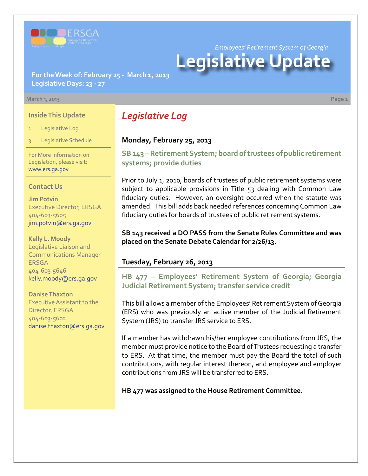

*Employees' Retirement System of Georgia*

# **Legislative Update**

**For the Week of: February 25 - March 1, 2013 Legislative Days: 23 - 27**

#### **March 1, 2013 Page 1**

#### **Inside This Update**

- Legislative Log
- Legislative Schedule

For More Information on Legislation, please visit: [www.ers.ga.gov](http://www.ers.ga.gov/default.aspx)

#### **Contact Us**

**Jim Potvin** Executive Director, ERSGA 404-603-5605 jim.potvin@ers.ga.gov

**Kelly L. Moody** Legislative Liaison and Communications Manager **ERSGA** 404-603-5646 kelly.moody@ers.ga.gov

**Danise Thaxton** Executive Assistant to the Director, ERSGA 404-603-5602 danise.thaxton@ers.ga.gov

# *Legislative Log*

#### **Monday, February 25, 2013**

**S[B 143 – R](http://www.legis.ga.gov/legislation/en-US/Display/20132014/SB/143)etirement System; board of trustees of public retirement systems; provide duties**

Prior to July 1, 2010, boards of trustees of public retirement systems were subject to applicable provisions in Title 53 dealing with Common Law fiduciary duties. However, an oversight occurred when the statute was amended. This bill adds back needed references concerning Common Law fiduciary duties for boards of trustees of public retirement systems.

**SB 143 received a DO PASS from the Senate Rules Committee and was placed on the Senate Debate Calendar for 2/26/13.**

#### **Tuesday, February 26, 2013**

**HB 477 [–](http://www.legis.ga.gov/legislation/en-US/Display/20132014/HB/477) Employees' Retirement System of Georgia; Georgia Judicial Retirement System; transfer service credit**

This bill allows a member of the Employees' Retirement System of Georgia (ERS) who was previously an active member of the Judicial Retirement System (JRS) to transfer JRS service to ERS.

If a member has withdrawn his/her employee contributions from JRS, the member must provide notice to the Board of Trustees requesting a transfer to ERS. At that time, the member must pay the Board the total of such contributions, with regular interest thereon, and employee and employer contributions from JRS will be transferred to ERS.

**HB 477 was assigned to the House Retirement Committee.**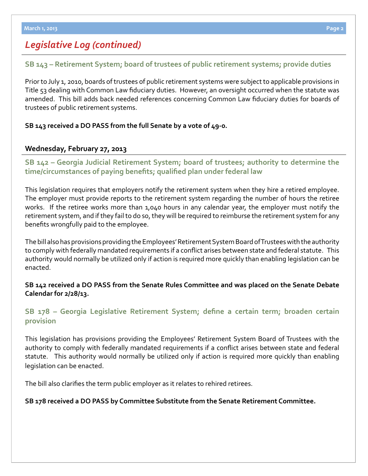# *Legislative Log (continued)*

## **S[B 143 –](http://www.legis.ga.gov/legislation/en-US/Display/20132014/SB/143) Retirement System; board of trustees of public retirement systems; provide duties**

Prior to July 1, 2010, boards of trustees of public retirement systems were subject to applicable provisions in Title 53 dealing with Common Law fiduciary duties. However, an oversight occurred when the statute was amended. This bill adds back needed references concerning Common Law fiduciary duties for boards of trustees of public retirement systems.

#### **SB 143 received a DO PASS from the full Senate by a vote of 49-0.**

#### **Wednesday, February 27, 2013**

**S[B 142 –](http://www.legis.ga.gov/legislation/en-US/Display/20132014/SB/142) Georgia Judicial Retirement System; board of trustees; authority to determine the time/circumstances of paying benefits; qualified plan under federal law**

This legislation requires that employers notify the retirement system when they hire a retired employee. The employer must provide reports to the retirement system regarding the number of hours the retiree works. If the retiree works more than 1,040 hours in any calendar year, the employer must notify the retirement system, and if they fail to do so, they will be required to reimburse the retirement system for any benefits wrongfully paid to the employee.

The bill also has provisions providing the Employees' Retirement System Board of Trustees with the authority to comply with federally mandated requirements if a conflict arises between state and federal statute. This authority would normally be utilized only if action is required more quickly than enabling legislation can be enacted.

**SB 142 received a DO PASS from the Senate Rules Committee and was placed on the Senate Debate Calendar for 2/28/13.**

## **S[B 178 –](http://www.legis.ga.gov/legislation/en-US/Display/20132014/SB/178) Georgia Legislative Retirement System; define a certain term; broaden certain provision**

This legislation has provisions providing the Employees' Retirement System Board of Trustees with the authority to comply with federally mandated requirements if a conflict arises between state and federal statute. This authority would normally be utilized only if action is required more quickly than enabling legislation can be enacted.

The bill also clarifies the term public employer as it relates to rehired retirees.

#### **SB 178 received a DO PASS by Committee Substitute from the Senate Retirement Committee.**